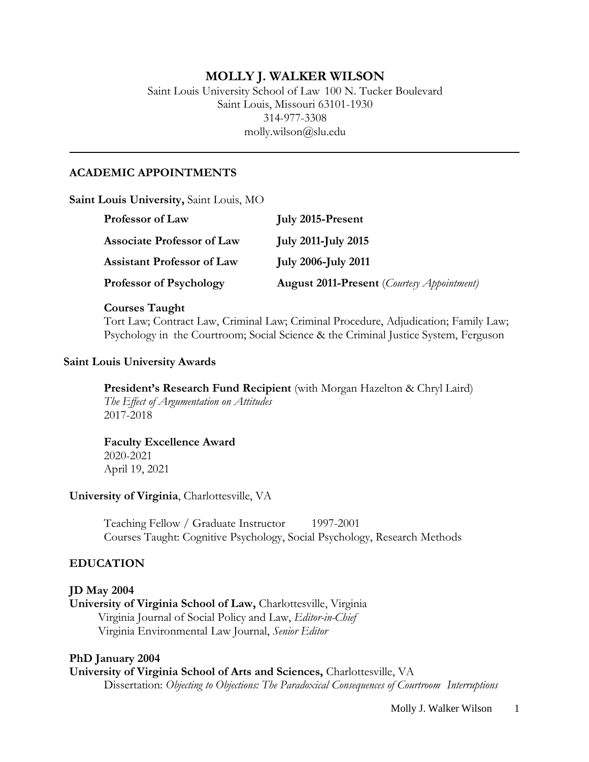### **MOLLY J. WALKER WILSON**

Saint Louis University School of Law 100 N. Tucker Boulevard Saint Louis, Missouri 63101-1930 314-977-3308 [molly.wilson@slu.edu](mailto:molly.wilson@slu.edu)

### **ACADEMIC APPOINTMENTS**

**Saint Louis University,** Saint Louis, MO

| <b>Professor of Law</b>           | <b>July 2015-Present</b>                                   |
|-----------------------------------|------------------------------------------------------------|
| <b>Associate Professor of Law</b> | <b>July 2011-July 2015</b>                                 |
| Assistant Professor of Law        | <b>July 2006-July 2011</b>                                 |
| <b>Professor of Psychology</b>    | <b>August 2011-Present</b> ( <i>Courtesy Appointment</i> ) |

#### **Courses Taught**

Tort Law; Contract Law, Criminal Law; Criminal Procedure, Adjudication; Family Law; Psychology in the Courtroom; Social Science & the Criminal Justice System, Ferguson

### **Saint Louis University Awards**

**President's Research Fund Recipient** (with Morgan Hazelton & Chryl Laird) *The Effect of Argumentation on Attitudes*

2017-2018

**Faculty Excellence Award** 2020-2021 April 19, 2021

#### **University of Virginia**, Charlottesville, VA

Teaching Fellow / Graduate Instructor 1997-2001 Courses Taught: Cognitive Psychology, Social Psychology, Research Methods

### **EDUCATION**

#### **JD May 2004**

**University of Virginia School of Law,** Charlottesville, Virginia Virginia Journal of Social Policy and Law, *Editor-in-Chief* Virginia Environmental Law Journal, *Senior Editor*

#### **PhD January 2004**

**University of Virginia School of Arts and Sciences,** Charlottesville, VA Dissertation: *Objecting to Objections: The Paradoxical Consequences of Courtroom Interruptions*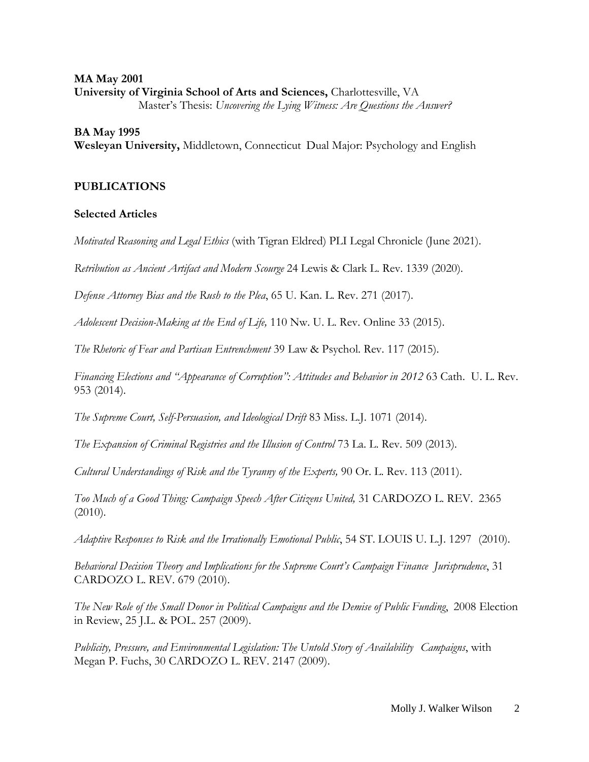### **MA May 2001 University of Virginia School of Arts and Sciences,** Charlottesville, VA Master's Thesis: *Uncovering the Lying Witness: Are Questions the Answer?*

### **BA May 1995**

**Wesleyan University,** Middletown, Connecticut Dual Major: Psychology and English

### **PUBLICATIONS**

#### **Selected Articles**

*Motivated Reasoning and Legal Ethics* (with Tigran Eldred) PLI Legal Chronicle (June 2021).

*Retribution as Ancient Artifact and Modern Scourge* 24 Lewis & Clark L. Rev. 1339 (2020).

*Defense Attorney Bias and the Rush to the Plea*, 65 U. Kan. L. Rev. 271 (2017).

*Adolescent Decision-Making at the End of Life,* 110 Nw. U. L. Rev. Online 33 (2015).

*The Rhetoric of Fear and Partisan Entrenchment* 39 Law & Psychol. Rev. 117 (2015).

*Financing Elections and "Appearance of Corruption": Attitudes and Behavior in 2012* 63 Cath. U. L. Rev. 953 (2014).

*The Supreme Court, Self-Persuasion, and Ideological Drift* 83 Miss. L.J. 1071 (2014).

*The Expansion of Criminal Registries and the Illusion of Control* 73 La. L. Rev. 509 (2013).

*Cultural Understandings of Risk and the Tyranny of the Experts,* 90 Or. L. Rev. 113 (2011).

*Too Much of a Good Thing: Campaign Speech After Citizens United,* 31 CARDOZO L. REV. 2365 (2010).

*Adaptive Responses to Risk and the Irrationally Emotional Public*, 54 ST. LOUIS U. L.J. 1297 (2010).

*Behavioral Decision Theory and Implications for the Supreme Court's Campaign Finance Jurisprudence*, 31 CARDOZO L. REV. 679 (2010).

*The New Role of the Small Donor in Political Campaigns and the Demise of Public Funding*, 2008 Election in Review, 25 J.L. & POL. 257 (2009).

*Publicity, Pressure, and Environmental Legislation: The Untold Story of Availability Campaigns*, with Megan P. Fuchs, 30 CARDOZO L. REV. 2147 (2009).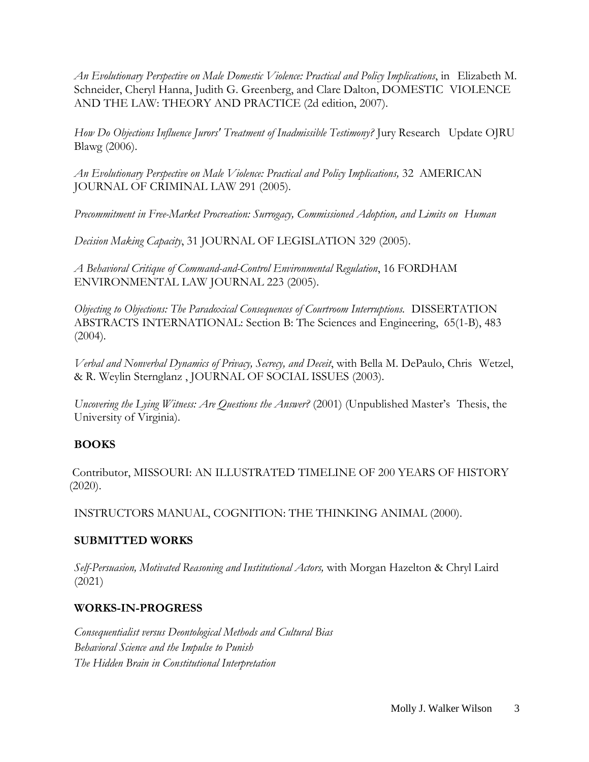*An Evolutionary Perspective on Male Domestic Violence: Practical and Policy Implications*, in Elizabeth M. Schneider, Cheryl Hanna, Judith G. Greenberg, and Clare Dalton, DOMESTIC VIOLENCE AND THE LAW: THEORY AND PRACTICE (2d edition, 2007).

*How Do Objections Influence Jurors' Treatment of Inadmissible Testimony?* Jury Research Update OJRU Blawg (2006).

*An Evolutionary Perspective on Male Violence: Practical and Policy Implications,* 32 AMERICAN JOURNAL OF CRIMINAL LAW 291 (2005).

*Precommitment in Free-Market Procreation: Surrogacy, Commissioned Adoption, and Limits on Human*

*Decision Making Capacity*, 31 JOURNAL OF LEGISLATION 329 (2005).

*A Behavioral Critique of Command-and-Control Environmental Regulation*, 16 FORDHAM ENVIRONMENTAL LAW JOURNAL 223 (2005).

*Objecting to Objections: The Paradoxical Consequences of Courtroom Interruptions.* DISSERTATION ABSTRACTS INTERNATIONAL: Section B: The Sciences and Engineering, 65(1-B), 483 (2004).

*Verbal and Nonverbal Dynamics of Privacy, Secrecy, and Deceit*, with Bella M. DePaulo, Chris Wetzel, & R. Weylin Sternglanz , JOURNAL OF SOCIAL ISSUES (2003).

*Uncovering the Lying Witness: Are Questions the Answer?* (2001) (Unpublished Master's Thesis, the University of Virginia).

# **BOOKS**

Contributor, MISSOURI: AN ILLUSTRATED TIMELINE OF 200 YEARS OF HISTORY (2020).

INSTRUCTORS MANUAL, COGNITION: THE THINKING ANIMAL (2000).

# **SUBMITTED WORKS**

*Self-Persuasion, Motivated Reasoning and Institutional Actors,* with Morgan Hazelton & Chryl Laird (2021)

# **WORKS-IN-PROGRESS**

*Consequentialist versus Deontological Methods and Cultural Bias Behavioral Science and the Impulse to Punish The Hidden Brain in Constitutional Interpretation*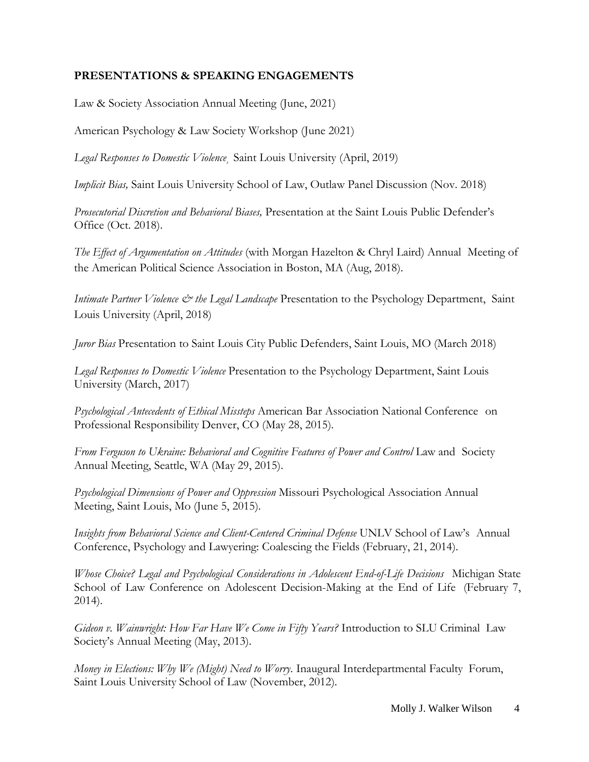# **PRESENTATIONS & SPEAKING ENGAGEMENTS**

Law & Society Association Annual Meeting (June, 2021)

American Psychology & Law Society Workshop (June 2021)

*Legal Responses to Domestic Violence¸* Saint Louis University (April, 2019)

*Implicit Bias,* Saint Louis University School of Law, Outlaw Panel Discussion (Nov. 2018)

*Prosecutorial Discretion and Behavioral Biases,* Presentation at the Saint Louis Public Defender's Office (Oct. 2018).

*The Effect of Argumentation on Attitudes* (with Morgan Hazelton & Chryl Laird) Annual Meeting of the American Political Science Association in Boston, MA (Aug, 2018).

*Intimate Partner Violence & the Legal Landscape* Presentation to the Psychology Department, Saint Louis University (April, 2018)

*Juror Bias* Presentation to Saint Louis City Public Defenders, Saint Louis, MO (March 2018)

*Legal Responses to Domestic Violence* Presentation to the Psychology Department, Saint Louis University (March, 2017)

*Psychological Antecedents of Ethical Missteps* American Bar Association National Conference on Professional Responsibility Denver, CO (May 28, 2015).

*From Ferguson to Ukraine: Behavioral and Cognitive Features of Power and Control* Law and Society Annual Meeting, Seattle, WA (May 29, 2015).

*Psychological Dimensions of Power and Oppression* Missouri Psychological Association Annual Meeting, Saint Louis, Mo (June 5, 2015).

*Insights from Behavioral Science and Client-Centered Criminal Defense* UNLV School of Law's Annual Conference, Psychology and Lawyering: Coalescing the Fields (February, 21, 2014).

*Whose Choice? Legal and Psychological Considerations in Adolescent End-of-Life Decisions* Michigan State School of Law Conference on Adolescent Decision-Making at the End of Life (February 7, 2014).

*Gideon v. Wainwright: How Far Have We Come in Fifty Years?* Introduction to SLU Criminal Law Society's Annual Meeting (May, 2013).

*Money in Elections: Why We (Might) Need to Worry*. Inaugural Interdepartmental Faculty Forum, Saint Louis University School of Law (November, 2012).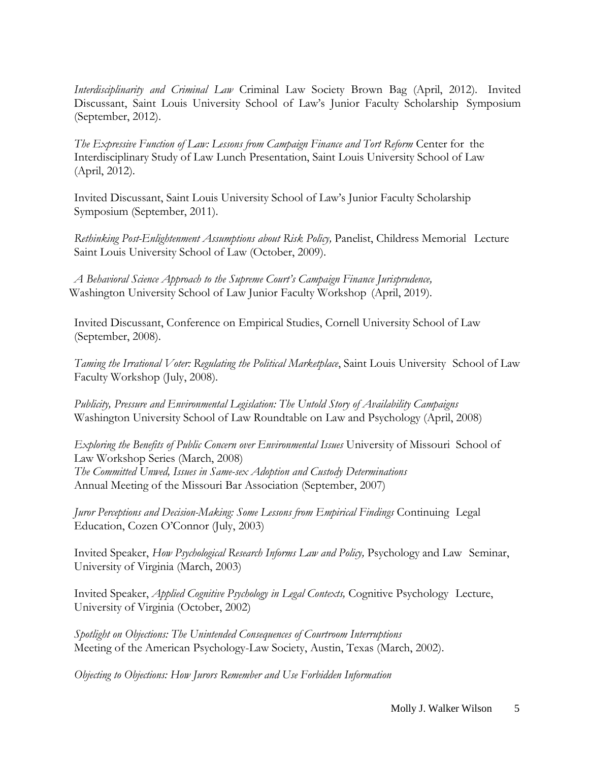*Interdisciplinarity and Criminal Law* Criminal Law Society Brown Bag (April, 2012). Invited Discussant, Saint Louis University School of Law's Junior Faculty Scholarship Symposium (September, 2012).

*The Expressive Function of Law: Lessons from Campaign Finance and Tort Reform* Center for the Interdisciplinary Study of Law Lunch Presentation, Saint Louis University School of Law (April, 2012).

Invited Discussant, Saint Louis University School of Law's Junior Faculty Scholarship Symposium (September, 2011).

*Rethinking Post-Enlightenment Assumptions about Risk Policy,* Panelist, Childress Memorial Lecture Saint Louis University School of Law (October, 2009).

*A Behavioral Science Approach to the Supreme Court's Campaign Finance Jurisprudence,* Washington University School of Law Junior Faculty Workshop (April, 2019).

Invited Discussant, Conference on Empirical Studies, Cornell University School of Law (September, 2008).

*Taming the Irrational Voter: Regulating the Political Marketplace*, Saint Louis University School of Law Faculty Workshop (July, 2008).

*Publicity, Pressure and Environmental Legislation: The Untold Story of Availability Campaigns* Washington University School of Law Roundtable on Law and Psychology (April, 2008)

*Exploring the Benefits of Public Concern over Environmental Issues* University of Missouri School of Law Workshop Series (March, 2008) *The Committed Unwed, Issues in Same-sex Adoption and Custody Determinations* Annual Meeting of the Missouri Bar Association (September, 2007)

*Juror Perceptions and Decision-Making: Some Lessons from Empirical Findings* Continuing Legal Education, Cozen O'Connor (July, 2003)

Invited Speaker, *How Psychological Research Informs Law and Policy,* Psychology and Law Seminar, University of Virginia (March, 2003)

Invited Speaker, *Applied Cognitive Psychology in Legal Contexts,* Cognitive Psychology Lecture, University of Virginia (October, 2002)

*Spotlight on Objections: The Unintended Consequences of Courtroom Interruptions* Meeting of the American Psychology-Law Society, Austin, Texas (March, 2002).

*Objecting to Objections: How Jurors Remember and Use Forbidden Information*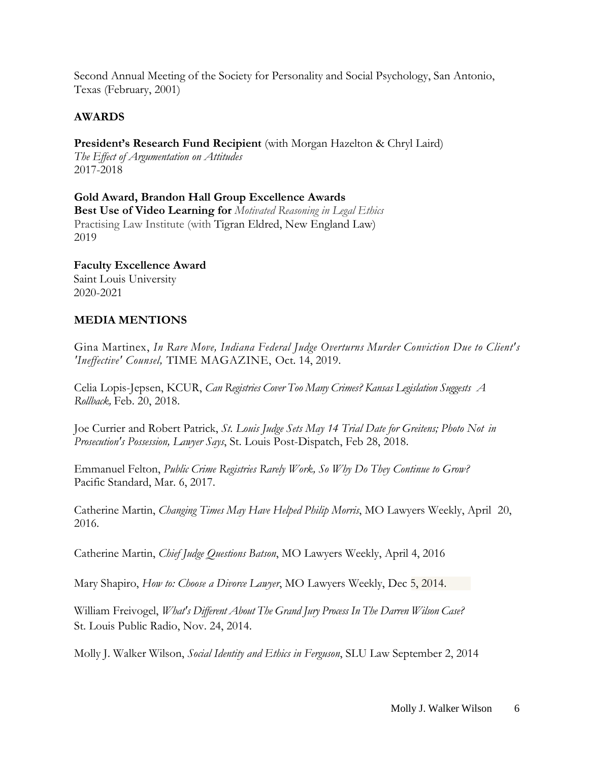Second Annual Meeting of the Society for Personality and Social Psychology, San Antonio, Texas (February, 2001)

# **AWARDS**

**President's Research Fund Recipient** (with Morgan Hazelton & Chryl Laird) *The Effect of Argumentation on Attitudes* 2017-2018

**Gold Award, Brandon Hall Group Excellence Awards Best Use of Video Learning for** *Motivated Reasoning in Legal Ethics* Practising Law Institute (with Tigran Eldred, New England Law) 2019

**Faculty Excellence Award** Saint Louis University 2020-2021

# **MEDIA MENTIONS**

Gina Martinex, *In Rare Move, Indiana Federal Judge Overturns Murder Conviction Due to Client's 'Ineffective' Counsel,* TIME MAGAZINE, Oct. 14, 2019.

Celia [Lopis-Jepsen,](http://www.kcur.org/people/celia-llopis-jepsen) KCUR, *Can Registries Cover Too Many Crimes? Kansas Legislation Suggests A Rollback,* Feb. 20, 2018.

Joe Currier and Robert Patrick, *St. Louis Judge Sets May 14 Trial Date for Greitens; Photo Not in Prosecution's Possession, Lawyer Says*, St. Louis Post-Dispatch, Feb 28, 2018.

Emmanuel Felton, *Public Crime Registries Rarely Work, So Why Do They Continue to Grow?* Pacific Standard, Mar. 6, 2017.

Catherine Martin, *Changing Times May Have Helped Philip Morris*, MO Lawyers Weekly, April 20, 2016.

Catherine Martin, *Chief Judge Questions Batson*, MO Lawyers Weekly, April 4, 2016

Mary Shapiro, *How to: Choose a Divorce Lawyer*, MO Lawyers Weekly, Dec 5, 2014.

William Freivogel, *What's Different About The Grand Jury Process In The Darren Wilson Case?* St. Louis Public Radio, Nov. 24, 2014.

Molly J. Walker Wilson, *Social Identity and Ethics in Ferguson*, SLU Law September 2, 2014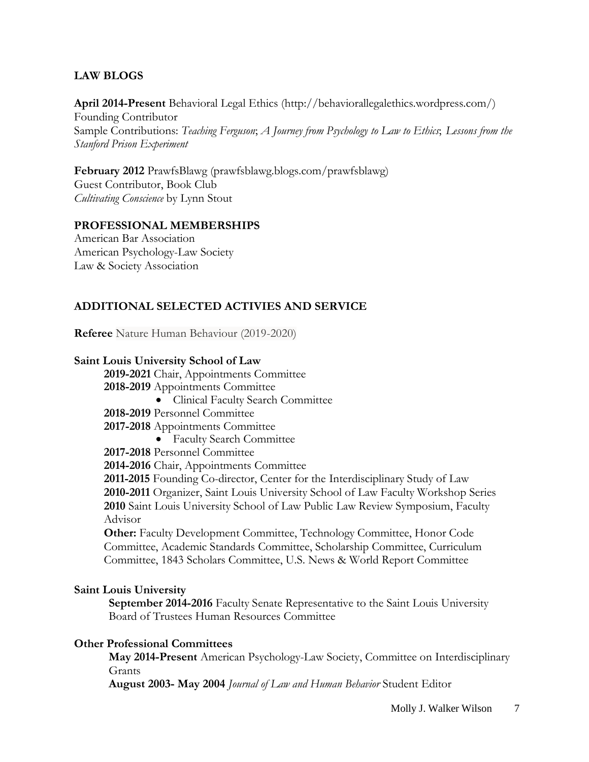# **LAW BLOGS**

**April 2014-Present** Behavioral Legal Ethics [\(http://behaviorallegalethics.wordpress.com/\)](http://behaviorallegalethics.wordpress.com/)) Founding Contributor Sample Contributions: *Teaching Ferguson*; *A Journey from Psychology to Law to Ethics*; *Lessons from the Stanford Prison Experiment*

**February 2012** PrawfsBlawg (prawfsblawg.blogs.com/prawfsblawg) Guest Contributor, Book Club *Cultivating Conscience* by Lynn Stout

## **PROFESSIONAL MEMBERSHIPS**

American Bar Association American Psychology-Law Society Law & Society Association

# **ADDITIONAL SELECTED ACTIVIES AND SERVICE**

**Referee** Nature Human Behaviour (2019-2020)

### **Saint Louis University School of Law**

**2019-2021** Chair, Appointments Committee **2018-2019** Appointments Committee

• Clinical Faculty Search Committee

**2018-2019** Personnel Committee

**2017-2018** Appointments Committee

• Faculty Search Committee

**2017-2018** Personnel Committee

**2014-2016** Chair, Appointments Committee

**2011-2015** Founding Co-director, Center for the Interdisciplinary Study of Law **2010-2011** Organizer, Saint Louis University School of Law Faculty Workshop Series **2010** Saint Louis University School of Law Public Law Review Symposium, Faculty Advisor

**Other:** Faculty Development Committee, Technology Committee, Honor Code Committee, Academic Standards Committee, Scholarship Committee, Curriculum Committee, 1843 Scholars Committee, U.S. News & World Report Committee

### **Saint Louis University**

**September 2014-2016** Faculty Senate Representative to the Saint Louis University Board of Trustees Human Resources Committee

### **Other Professional Committees**

**May 2014-Present** American Psychology-Law Society, Committee on Interdisciplinary Grants

**August 2003- May 2004** *Journal of Law and Human Behavior* Student Editor